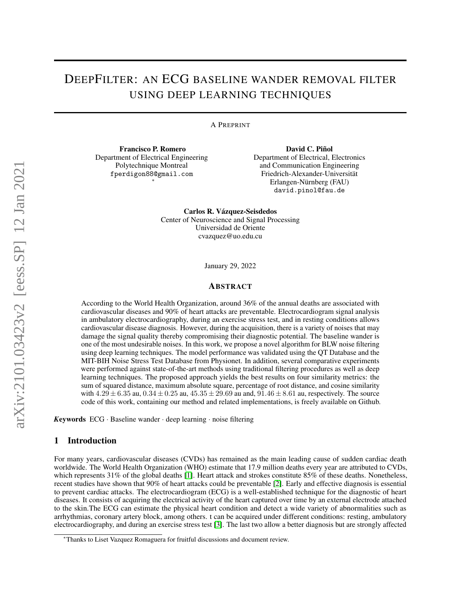# DEEPFILTER: AN ECG BASELINE WANDER REMOVAL FILTER USING DEEP LEARNING TECHNIQUES

A PREPRINT

Francisco P. Romero Department of Electrical Engineering Polytechnique Montreal fperdigon88@gmail.com ∗

David C. Piñol Department of Electrical, Electronics and Communication Engineering Friedrich-Alexander-Universität Erlangen-Nürnberg (FAU) david.pinol@fau.de

Carlos R. Vázquez-Seisdedos Center of Neuroscience and Signal Processing Universidad de Oriente cvazquez@uo.edu.cu

January 29, 2022

## ABSTRACT

According to the World Health Organization, around 36% of the annual deaths are associated with cardiovascular diseases and 90% of heart attacks are preventable. Electrocardiogram signal analysis in ambulatory electrocardiography, during an exercise stress test, and in resting conditions allows cardiovascular disease diagnosis. However, during the acquisition, there is a variety of noises that may damage the signal quality thereby compromising their diagnostic potential. The baseline wander is one of the most undesirable noises. In this work, we propose a novel algorithm for BLW noise filtering using deep learning techniques. The model performance was validated using the QT Database and the MIT-BIH Noise Stress Test Database from Physionet. In addition, several comparative experiments were performed against state-of-the-art methods using traditional filtering procedures as well as deep learning techniques. The proposed approach yields the best results on four similarity metrics: the sum of squared distance, maximum absolute square, percentage of root distance, and cosine similarity with  $4.29 \pm 6.35$  au,  $0.34 \pm 0.25$  au,  $45.35 \pm 29.69$  au and,  $91.46 \pm 8.61$  au, respectively. The source code of this work, containing our method and related implementations, is freely available on Github.

*K*eywords ECG · Baseline wander · deep learning · noise filtering

## 1 Introduction

For many years, cardiovascular diseases (CVDs) has remained as the main leading cause of sudden cardiac death worldwide. The World Health Organization (WHO) estimate that 17.9 million deaths every year are attributed to CVDs, which represents 31% of the global deaths [\[1\]](#page-10-0). Heart attack and strokes constitute 85% of these deaths. Nonetheless, recent studies have shown that 90% of heart attacks could be preventable [\[2\]](#page-10-1). Early and effective diagnosis is essential to prevent cardiac attacks. The electrocardiogram (ECG) is a well-established technique for the diagnostic of heart diseases. It consists of acquiring the electrical activity of the heart captured over time by an external electrode attached to the skin.The ECG can estimate the physical heart condition and detect a wide variety of abnormalities such as arrhythmias, coronary artery block, among others. t can be acquired under different conditions: resting, ambulatory electrocardiography, and during an exercise stress test [\[3\]](#page-10-2). The last two allow a better diagnosis but are strongly affected

<sup>∗</sup>Thanks to Liset Vazquez Romaguera for fruitful discussions and document review.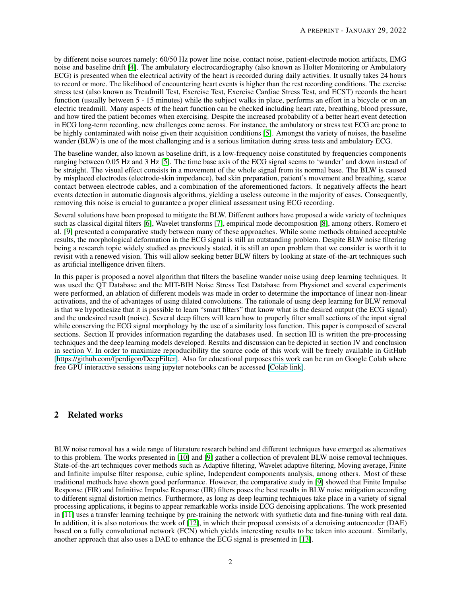by different noise sources namely: 60/50 Hz power line noise, contact noise, patient-electrode motion artifacts, EMG noise and baseline drift [\[4\]](#page-10-3). The ambulatory electrocardiography (also known as Holter Monitoring or Ambulatory ECG) is presented when the electrical activity of the heart is recorded during daily activities. It usually takes 24 hours to record or more. The likelihood of encountering heart events is higher than the rest recording conditions. The exercise stress test (also known as Treadmill Test, Exercise Test, Exercise Cardiac Stress Test, and ECST) records the heart function (usually between 5 - 15 minutes) while the subject walks in place, performs an effort in a bicycle or on an electric treadmill. Many aspects of the heart function can be checked including heart rate, breathing, blood pressure, and how tired the patient becomes when exercising. Despite the increased probability of a better heart event detection in ECG long-term recording, new challenges come across. For instance, the ambulatory or stress test ECG are prone to be highly contaminated with noise given their acquisition conditions [\[5\]](#page-10-4). Amongst the variety of noises, the baseline wander (BLW) is one of the most challenging and is a serious limitation during stress tests and ambulatory ECG.

The baseline wander, also known as baseline drift, is a low-frequency noise constituted by frequencies components ranging between 0.05 Hz and 3 Hz [\[5\]](#page-10-4). The time base axis of the ECG signal seems to 'wander' and down instead of be straight. The visual effect consists in a movement of the whole signal from its normal base. The BLW is caused by misplaced electrodes (electrode-skin impedance), bad skin preparation, patient's movement and breathing, scarce contact between electrode cables, and a combination of the aforementioned factors. It negatively affects the heart events detection in automatic diagnosis algorithms, yielding a useless outcome in the majority of cases. Consequently, removing this noise is crucial to guarantee a proper clinical assessment using ECG recording.

Several solutions have been proposed to mitigate the BLW. Different authors have proposed a wide variety of techniques such as classical digital filters [\[6\]](#page-10-5), Wavelet transforms [\[7\]](#page-10-6), empirical mode decomposition [\[8\]](#page-10-7), among others. Romero et al. [\[9\]](#page-10-8) presented a comparative study between many of these approaches. While some methods obtained acceptable results, the morphological deformation in the ECG signal is still an outstanding problem. Despite BLW noise filtering being a research topic widely studied as previously stated, it is still an open problem that we consider is worth it to revisit with a renewed vision. This will allow seeking better BLW filters by looking at state-of-the-art techniques such as artificial intelligence driven filters.

In this paper is proposed a novel algorithm that filters the baseline wander noise using deep learning techniques. It was used the QT Database and the MIT-BIH Noise Stress Test Database from Physionet and several experiments were performed, an ablation of different models was made in order to determine the importance of linear non-linear activations, and the of advantages of using dilated convolutions. The rationale of using deep learning for BLW removal is that we hypothesize that it is possible to learn "smart filters" that know what is the desired output (the ECG signal) and the undesired result (noise). Several deep filters will learn how to properly filter small sections of the input signal while conserving the ECG signal morphology by the use of a similarity loss function. This paper is composed of several sections. Section II provides information regarding the databases used. In section III is written the pre-processing techniques and the deep learning models developed. Results and discussion can be depicted in section IV and conclusion in section V. In order to maximize reproducibility the source code of this work will be freely available in GitHub [\[https://github.com/fperdigon/DeepFilter\]](https://github.com/fperdigon/DeepFilter). Also for educational purposes this work can be run on Google Colab where free GPU interactive sessions using jupyter notebooks can be accessed [\[Colab link\]](https://colab.research.google.com/drive/1S1HjkQnrA0EbEDJFr0D-6DAt62RCcP5_?usp=sharing).

# 2 Related works

BLW noise removal has a wide range of literature research behind and different techniques have emerged as alternatives to this problem. The works presented in [\[10\]](#page-10-9) and [\[9\]](#page-10-8) gather a collection of prevalent BLW noise removal techniques. State-of-the-art techniques cover methods such as Adaptive filtering, Wavelet adaptive filtering, Moving average, Finite and Infinite impulse filter response, cubic spline, Independent components analysis, among others. Most of these traditional methods have shown good performance. However, the comparative study in [\[9\]](#page-10-8) showed that Finite Impulse Response (FIR) and Infinitive Impulse Response (IIR) filters poses the best results in BLW noise mitigation according to different signal distortion metrics. Furthermore, as long as deep learning techniques take place in a variety of signal processing applications, it begins to appear remarkable works inside ECG denoising applications. The work presented in [\[11\]](#page-10-10) uses a transfer learning technique by pre-training the network with synthetic data and fine-tuning with real data. In addition, it is also notorious the work of [\[12\]](#page-10-11), in which their proposal consists of a denoising autoencoder (DAE) based on a fully convolutional network (FCN) which yields interesting results to be taken into account. Similarly, another approach that also uses a DAE to enhance the ECG signal is presented in [\[13\]](#page-10-12).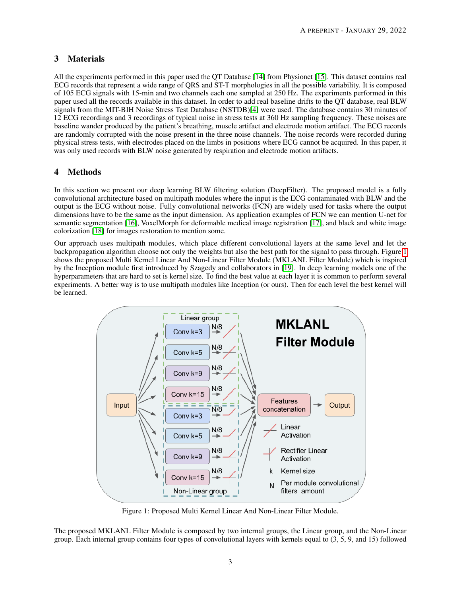# 3 Materials

All the experiments performed in this paper used the QT Database [\[14\]](#page-10-13) from Physionet [\[15\]](#page-10-14). This dataset contains real ECG records that represent a wide range of QRS and ST-T morphologies in all the possible variability. It is composed of 105 ECG signals with 15-min and two channels each one sampled at 250 Hz. The experiments performed in this paper used all the records available in this dataset. In order to add real baseline drifts to the QT database, real BLW signals from the MIT-BIH Noise Stress Test Database (NSTDB)[\[4\]](#page-10-3) were used. The database contains 30 minutes of 12 ECG recordings and 3 recordings of typical noise in stress tests at 360 Hz sampling frequency. These noises are baseline wander produced by the patient's breathing, muscle artifact and electrode motion artifact. The ECG records are randomly corrupted with the noise present in the three noise channels. The noise records were recorded during physical stress tests, with electrodes placed on the limbs in positions where ECG cannot be acquired. In this paper, it was only used records with BLW noise generated by respiration and electrode motion artifacts.

# 4 Methods

In this section we present our deep learning BLW filtering solution (DeepFilter). The proposed model is a fully convolutional architecture based on multipath modules where the input is the ECG contaminated with BLW and the output is the ECG without noise. Fully convolutional networks (FCN) are widely used for tasks where the output dimensions have to be the same as the input dimension. As application examples of FCN we can mention U-net for semantic segmentation [\[16\]](#page-10-15), VoxelMorph for deformable medical image registration [\[17\]](#page-10-16), and black and white image colorization [\[18\]](#page-11-0) for images restoration to mention some.

Our approach uses multipath modules, which place different convolutional layers at the same level and let the backpropagation algorithm choose not only the weights but also the best path for the signal to pass through. Figure [1](#page-2-0) shows the proposed Multi Kernel Linear And Non-Linear Filter Module (MKLANL Filter Module) which is inspired by the Inception module first introduced by Szagedy and collaborators in [\[19\]](#page-11-1). In deep learning models one of the hyperparameters that are hard to set is kernel size. To find the best value at each layer it is common to perform several experiments. A better way is to use multipath modules like Inception (or ours). Then for each level the best kernel will be learned.

<span id="page-2-0"></span>

Figure 1: Proposed Multi Kernel Linear And Non-Linear Filter Module.

The proposed MKLANL Filter Module is composed by two internal groups, the Linear group, and the Non-Linear group. Each internal group contains four types of convolutional layers with kernels equal to (3, 5, 9, and 15) followed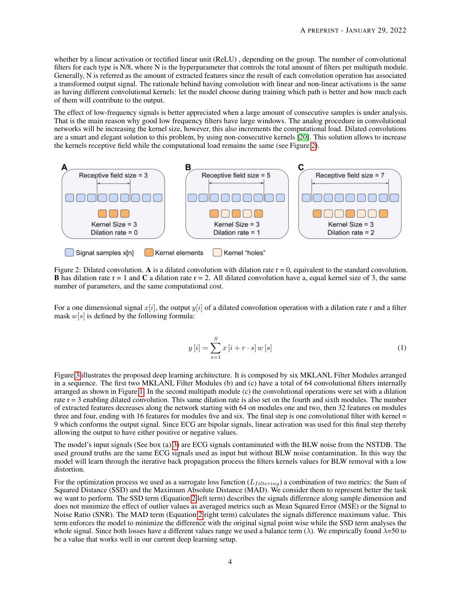whether by a linear activation or rectified linear unit (ReLU) , depending on the group. The number of convolutional filters for each type is N/8, where N is the hyperparameter that controls the total amount of filters per multipath module. Generally, N is referred as the amount of extracted features since the result of each convolution operation has associated a transformed output signal. The rationale behind having convolution with linear and non-linear activations is the same as having different convolutional kernels: let the model choose during training which path is better and how much each of them will contribute to the output.

The effect of low-frequency signals is better appreciated when a large amount of consecutive samples is under analysis. That is the main reason why good low frequency filters have large windows. The analog procedure in convolutional networks will be increasing the kernel size, however, this also increments the computational load. Dilated convolutions are a smart and elegant solution to this problem, by using non-consecutive kernels [\[20\]](#page-11-2). This solution allows to increase the kernels receptive field while the computational load remains the same (see Figure [2\)](#page-3-0).

<span id="page-3-0"></span>

Figure 2: Dilated convolution. A is a dilated convolution with dilation rate  $r = 0$ , equivalent to the standard convolution. **B** has dilation rate r = 1 and C a dilation rate r = 2. All dilated convolution have a, equal kernel size of 3, the same number of parameters, and the same computational cost.

For a one dimensional signal  $x[i]$ , the output  $y[i]$  of a dilated convolution operation with a dilation rate r and a filter mask  $w[s]$  is defined by the following formula:

$$
y[i] = \sum_{s=1}^{S} x[i + r \cdot s] w[s]
$$
 (1)

Figure [3](#page-4-0) illustrates the proposed deep learning architecture. It is composed by six MKLANL Filter Modules arranged in a sequence. The first two MKLANL Filter Modules (b) and (c) have a total of 64 convolutional filters internally arranged as shown in Figure [1.](#page-2-0) In the second multipath module (c) the convolutional operations were set with a dilation rate  $r = 3$  enabling dilated convolution. This same dilation rate is also set on the fourth and sixth modules. The number of extracted features decreases along the network starting with 64 on modules one and two, then 32 features on modules three and four, ending with 16 features for modules five and six. The final step is one convolutional filter with kernel  $=$ 9 which conforms the output signal. Since ECG are bipolar signals, linear activation was used for this final step thereby allowing the output to have either positive or negative values.

The model's input signals (See box (a) [3\)](#page-4-0) are ECG signals contaminated with the BLW noise from the NSTDB. The used ground truths are the same ECG signals used as input but without BLW noise contamination. In this way the model will learn through the iterative back propagation process the filters kernels values for BLW removal with a low distortion.

For the optimization process we used as a surrogate loss function  $(L_{filtering})$  a combination of two metrics: the Sum of Squared Distance (SSD) and the Maximum Absolute Distance (MAD). We consider them to represent better the task we want to perform. The SSD term (Equation [2](#page-4-1) left term) describes the signals difference along sample dimension and does not minimize the effect of outlier values as averaged metrics such as Mean Squared Error (MSE) or the Signal to Noise Ratio (SNR). The MAD term (Equation [2](#page-4-1) right term) calculates the signals difference maximum value. This term enforces the model to minimize the difference with the original signal point wise while the SSD term analyses the whole signal. Since both losses have a different values range we used a balance term ( $\lambda$ ). We empirically found  $\lambda$ =50 to be a value that works well in our current deep learning setup.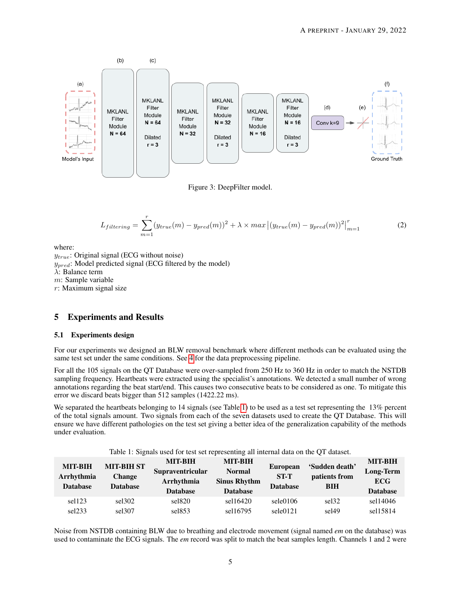<span id="page-4-0"></span>

Figure 3: DeepFilter model.

<span id="page-4-1"></span>
$$
L_{filtering} = \sum_{m=1}^{r} (y_{true}(m) - y_{pred}(m))^2 + \lambda \times max \left[ (y_{true}(m) - y_{pred}(m))^2 \right]_{m=1}^{r}
$$
 (2)

where:

 $y_{true}$ : Original signal (ECG without noise)  $y_{pred}$ : Model predicted signal (ECG filtered by the model) λ: Balance term m: Sample variable r: Maximum signal size

# 5 Experiments and Results

#### 5.1 Experiments design

For our experiments we designed an BLW removal benchmark where different methods can be evaluated using the same test set under the same conditions. See [4](#page-5-0) for the data preprocessing pipeline.

For all the 105 signals on the QT Database were over-sampled from 250 Hz to 360 Hz in order to match the NSTDB sampling frequency. Heartbeats were extracted using the specialist's annotations. We detected a small number of wrong annotations regarding the beat start/end. This causes two consecutive beats to be considered as one. To mitigate this error we discard beats bigger than 512 samples (1422.22 ms).

We separated the heartbeats belonging to 14 signals (see Table [1\)](#page-4-2) to be used as a test set representing the 13% percent of the total signals amount. Two signals from each of the seven datasets used to create the QT Database. This will ensure we have different pathologies on the test set giving a better idea of the generalization capability of the methods under evaluation.

Table 1: Signals used for test set representing all internal data on the QT dataset.

<span id="page-4-2"></span>

| <b>MIT-BIH</b><br>Arrhythmia<br><b>Database</b> | <b>MIT-BIH ST</b><br><b>Change</b><br><b>Database</b> | <b>MIT-BIH</b><br><b>Supraventricular</b><br>Arrhythmia<br><b>Database</b> | <b>MIT-BIH</b><br><b>Normal</b><br><b>Sinus Rhythm</b><br><b>Database</b> | <b>European</b><br><b>ST-T</b><br><b>Database</b> | 'Sudden death'<br>patients from<br><b>BIH</b> | <b>MIT-BIH</b><br><b>Long-Term</b><br><b>ECG</b><br><b>Database</b> |
|-------------------------------------------------|-------------------------------------------------------|----------------------------------------------------------------------------|---------------------------------------------------------------------------|---------------------------------------------------|-----------------------------------------------|---------------------------------------------------------------------|
| sel123                                          | $\text{sel}302$                                       | self820                                                                    | sel16420                                                                  | sele0106                                          | sel32                                         | sel14046                                                            |
| self233                                         | sel307                                                | self853                                                                    | sel16795                                                                  | sele0121                                          | sel <sub>49</sub>                             | sel15814                                                            |

Noise from NSTDB containing BLW due to breathing and electrode movement (signal named *em* on the database) was used to contaminate the ECG signals. The *em* record was split to match the beat samples length. Channels 1 and 2 were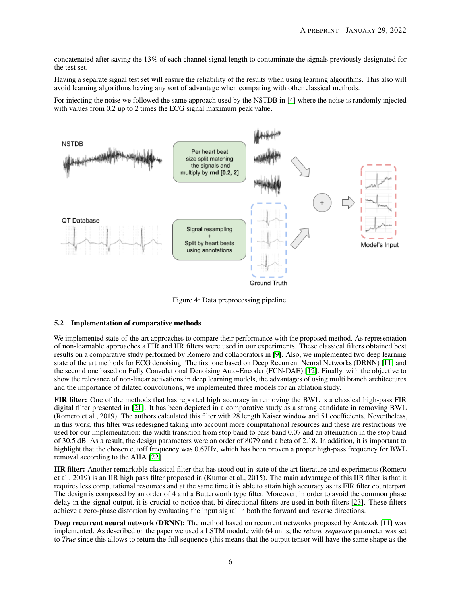concatenated after saving the 13% of each channel signal length to contaminate the signals previously designated for the test set.

Having a separate signal test set will ensure the reliability of the results when using learning algorithms. This also will avoid learning algorithms having any sort of advantage when comparing with other classical methods.

For injecting the noise we followed the same approach used by the NSTDB in [\[4\]](#page-10-3) where the noise is randomly injected with values from 0.2 up to 2 times the ECG signal maximum peak value.

<span id="page-5-0"></span>

Figure 4: Data preprocessing pipeline.

# <span id="page-5-1"></span>5.2 Implementation of comparative methods

We implemented state-of-the-art approaches to compare their performance with the proposed method. As representation of non-learnable approaches a FIR and IIR filters were used in our experiments. These classical filters obtained best results on a comparative study performed by Romero and collaborators in [\[9\]](#page-10-8). Also, we implemented two deep learning state of the art methods for ECG denoising. The first one based on Deep Recurrent Neural Networks (DRNN) [\[11\]](#page-10-10) and the second one based on Fully Convolutional Denoising Auto-Encoder (FCN-DAE) [\[12\]](#page-10-11). Finally, with the objective to show the relevance of non-linear activations in deep learning models, the advantages of using multi branch architectures and the importance of dilated convolutions, we implemented three models for an ablation study.

FIR filter: One of the methods that has reported high accuracy in removing the BWL is a classical high-pass FIR digital filter presented in [\[21\]](#page-11-3). It has been depicted in a comparative study as a strong candidate in removing BWL (Romero et al., 2019). The authors calculated this filter with 28 length Kaiser window and 51 coefficients. Nevertheless, in this work, this filter was redesigned taking into account more computational resources and these are restrictions we used for our implementation: the width transition from stop band to pass band 0.07 and an attenuation in the stop band of 30.5 dB. As a result, the design parameters were an order of 8079 and a beta of 2.18. In addition, it is important to highlight that the chosen cutoff frequency was 0.67Hz, which has been proven a proper high-pass frequency for BWL removal according to the AHA [\[22\]](#page-11-4) .

IIR filter: Another remarkable classical filter that has stood out in state of the art literature and experiments (Romero et al., 2019) is an IIR high pass filter proposed in (Kumar et al., 2015). The main advantage of this IIR filter is that it requires less computational resources and at the same time it is able to attain high accuracy as its FIR filter counterpart. The design is composed by an order of 4 and a Butterworth type filter. Moreover, in order to avoid the common phase delay in the signal output, it is crucial to notice that, bi-directional filters are used in both filters [\[23\]](#page-11-5). These filters achieve a zero-phase distortion by evaluating the input signal in both the forward and reverse directions.

Deep recurrent neural network (DRNN): The method based on recurrent networks proposed by Antczak [\[11\]](#page-10-10) was implemented. As described on the paper we used a LSTM module with 64 units, the *return\_sequence* parameter was set to *True* since this allows to return the full sequence (this means that the output tensor will have the same shape as the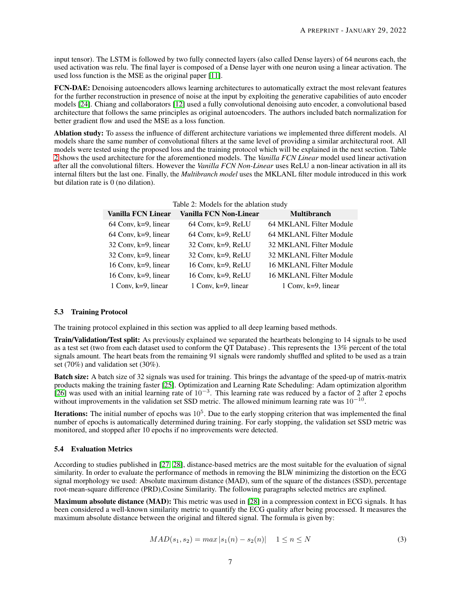input tensor). The LSTM is followed by two fully connected layers (also called Dense layers) of 64 neurons each, the used activation was relu. The final layer is composed of a Dense layer with one neuron using a linear activation. The used loss function is the MSE as the original paper [\[11\]](#page-10-10).

FCN-DAE: Denoising autoencoders allows learning architectures to automatically extract the most relevant features for the further reconstruction in presence of noise at the input by exploiting the generative capabilities of auto encoder models [\[24\]](#page-11-6). Chiang and collaborators [\[12\]](#page-10-11) used a fully convolutional denoising auto encoder, a convolutional based architecture that follows the same principles as original autoencoders. The authors included batch normalization for better gradient flow and used the MSE as a loss function.

Ablation study: To assess the influence of different architecture variations we implemented three different models. Al models share the same number of convolutional filters at the same level of providing a similar architectural root. All models were tested using the proposed loss and the training protocol which will be explained in the next section. Table [2](#page-6-0) shows the used architecture for the aforementioned models. The *Vanilla FCN Linear* model used linear activation after all the convolutional filters. However the *Vanilla FCN Non-Linear* uses ReLU a non-linear activation in all its internal filters but the last one. Finally, the *Multibranch model* uses the MKLANL filter module introduced in this work but dilation rate is 0 (no dilation).

<span id="page-6-0"></span>

| Table 2: Models for the ablation study                     |                         |  |  |  |  |  |
|------------------------------------------------------------|-------------------------|--|--|--|--|--|
| <b>Vanilla FCN Non-Linear</b><br><b>Vanilla FCN Linear</b> | <b>Multibranch</b>      |  |  |  |  |  |
| $64$ Conv, k=9, linear<br>$64$ Conv, k=9, ReLU             | 64 MKLANL Filter Module |  |  |  |  |  |
| $64$ Conv, k=9, ReLU<br>$64$ Conv, k=9, linear             | 64 MKLANL Filter Module |  |  |  |  |  |
| $32$ Conv, k=9, ReLU<br>$32$ Conv, k=9, linear             | 32 MKLANL Filter Module |  |  |  |  |  |
| $32$ Conv, k=9, linear<br>32 Conv, k=9, ReLU               | 32 MKLANL Filter Module |  |  |  |  |  |
| 16 Conv, $k=9$ , linear<br>16 Conv, $k=9$ , ReLU           | 16 MKLANL Filter Module |  |  |  |  |  |
| 16 Conv, $k=9$ , linear<br>16 Conv, $k=9$ , ReLU           | 16 MKLANL Filter Module |  |  |  |  |  |
| 1 Conv, $k=9$ , linear                                     | 1 Conv, $k=9$ , linear  |  |  |  |  |  |
|                                                            |                         |  |  |  |  |  |

#### 5.3 Training Protocol

The training protocol explained in this section was applied to all deep learning based methods.

Train/Validation/Test split: As previously explained we separated the heartbeats belonging to 14 signals to be used as a test set (two from each dataset used to conform the QT Database) . This represents the 13% percent of the total signals amount. The heart beats from the remaining 91 signals were randomly shuffled and splited to be used as a train set (70%) and validation set (30%).

Batch size: A batch size of 32 signals was used for training. This brings the advantage of the speed-up of matrix-matrix products making the training faster [\[25\]](#page-11-7). Optimization and Learning Rate Scheduling: Adam optimization algorithm [\[26\]](#page-11-8) was used with an initial learning rate of  $10^{-3}$ . This learning rate was reduced by a factor of 2 after 2 epochs without improvements in the validation set SSD metric. The allowed minimum learning rate was  $10^{-10}$ .

**Iterations:** The initial number of epochs was  $10^5$ . Due to the early stopping criterion that was implemented the final number of epochs is automatically determined during training. For early stopping, the validation set SSD metric was monitored, and stopped after 10 epochs if no improvements were detected.

#### 5.4 Evaluation Metrics

According to studies published in [\[27,](#page-11-9) [28\]](#page-11-10), distance-based metrics are the most suitable for the evaluation of signal similarity. In order to evaluate the performance of methods in removing the BLW minimizing the distortion on the ECG signal morphology we used: Absolute maximum distance (MAD), sum of the square of the distances (SSD), percentage root-mean-square difference (PRD),Cosine Similarity. The following paragraphs selected metrics are explined.

Maximum absolute distance (MAD): This metric was used in [\[28\]](#page-11-10) in a compression context in ECG signals. It has been considered a well-known similarity metric to quantify the ECG quality after being processed. It measures the maximum absolute distance between the original and filtered signal. The formula is given by:

$$
MAD(s_1, s_2) = max |s_1(n) - s_2(n)| \quad 1 \le n \le N \tag{3}
$$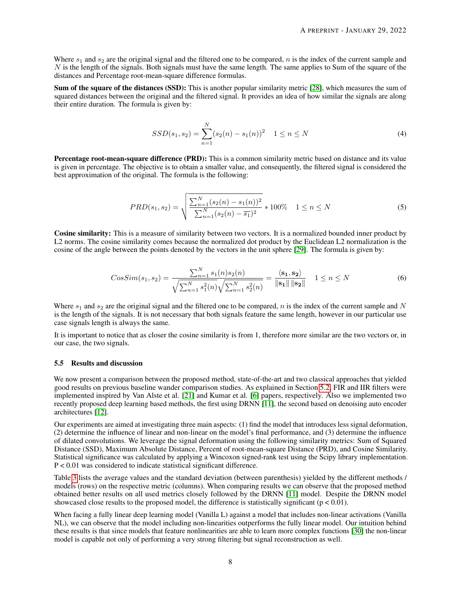Where  $s_1$  and  $s_2$  are the original signal and the filtered one to be compared, n is the index of the current sample and  $N$  is the length of the signals. Both signals must have the same length. The same applies to Sum of the square of the distances and Percentage root-mean-square difference formulas.

Sum of the square of the distances (SSD): This is another popular similarity metric [\[28\]](#page-11-10), which measures the sum of squared distances between the original and the filtered signal. It provides an idea of how similar the signals are along their entire duration. The formula is given by:

$$
SSD(s_1, s_2) = \sum_{n=1}^{N} (s_2(n) - s_1(n))^2 \quad 1 \le n \le N
$$
\n(4)

Percentage root-mean-square difference (PRD): This is a common similarity metric based on distance and its value is given in percentage. The objective is to obtain a smaller value, and consequently, the filtered signal is considered the best approximation of the original. The formula is the following:

$$
PRD(s_1, s_2) = \sqrt{\frac{\sum_{n=1}^{N} (s_2(n) - s_1(n))^2}{\sum_{n=1}^{N} (s_2(n) - \overline{s_1})^2}} * 100\% \quad 1 \le n \le N
$$
\n
$$
(5)
$$

Cosine similarity: This is a measure of similarity between two vectors. It is a normalized bounded inner product by L2 norms. The cosine similarity comes because the normalized dot product by the Euclidean L2 normalization is the cosine of the angle between the points denoted by the vectors in the unit sphere [\[29\]](#page-11-11). The formula is given by:

$$
CosSim(s_1, s_2) = \frac{\sum_{n=1}^{N} s_1(n) s_2(n)}{\sqrt{\sum_{n=1}^{N} s_1^2(n)} \sqrt{\sum_{n=1}^{N} s_2^2(n)}} = \frac{\langle s_1, s_2 \rangle}{\|s_1\| \|s_2\|} \quad 1 \le n \le N
$$
(6)

Where  $s_1$  and  $s_2$  are the original signal and the filtered one to be compared, n is the index of the current sample and N is the length of the signals. It is not necessary that both signals feature the same length, however in our particular use case signals length is always the same.

It is important to notice that as closer the cosine similarity is from 1, therefore more similar are the two vectors or, in our case, the two signals.

#### 5.5 Results and discussion

We now present a comparison between the proposed method, state-of-the-art and two classical approaches that yielded good results on previous baseline wander comparison studies. As explained in Section [5.2,](#page-5-1) FIR and IIR filters were implemented inspired by Van Alste et al. [\[21\]](#page-11-3) and Kumar et al. [\[6\]](#page-10-5) papers, respectively. Also we implemented two recently proposed deep learning based methods, the first using DRNN [\[11\]](#page-10-10), the second based on denoising auto encoder architectures [\[12\]](#page-10-11).

Our experiments are aimed at investigating three main aspects: (1) find the model that introduces less signal deformation, (2) determine the influence of linear and non-linear on the model's final performance, and (3) determine the influence of dilated convolutions. We leverage the signal deformation using the following similarity metrics: Sum of Squared Distance (SSD), Maximum Absolute Distance, Percent of root-mean-square Distance (PRD), and Cosine Similarity. Statistical significance was calculated by applying a Wincoxon signed-rank test using the Scipy library implementation. P < 0.01 was considered to indicate statistical significant difference.

Table [3](#page-8-0) lists the average values and the standard deviation (between parenthesis) yielded by the different methods / models (rows) on the respective metric (columns). When comparing results we can observe that the proposed method obtained better results on all used metrics closely followed by the DRNN [\[11\]](#page-10-10) model. Despite the DRNN model showcased close results to the proposed model, the difference is statistically significant ( $p < 0.01$ ).

When facing a fully linear deep learning model (Vanilla L) against a model that includes non-linear activations (Vanilla NL), we can observe that the model including non-linearities outperforms the fully linear model. Our intuition behind these results is that since models that feature nonlinearities are able to learn more complex functions [\[30\]](#page-11-12) the non-linear model is capable not only of performing a very strong filtering but signal reconstruction as well.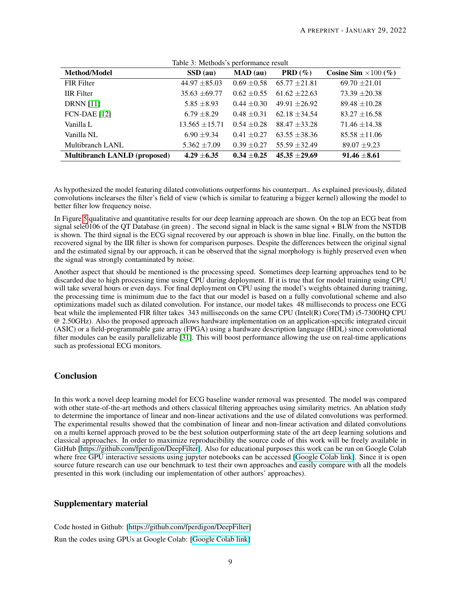<span id="page-8-0"></span>

| Method/Model                        | rable 5. Methods s performance result<br>SSD (au) | $\mathbf{MAD}$ (au) | <b>PRD</b> $(\%)$ | Cosine Sim $\times 100$ (%) |
|-------------------------------------|---------------------------------------------------|---------------------|-------------------|-----------------------------|
| <b>FIR Filter</b>                   | $44.97 \pm 85.03$                                 | $0.69 \pm 0.58$     | $65.77 + 21.81$   | $69.70 \pm 21.01$           |
| <b>IIR</b> Filter                   | $35.63 \pm 69.77$                                 | $0.62 \pm 0.55$     | $61.62 + 22.63$   | $73.39 \pm 20.38$           |
| <b>DRNN</b> [11]                    | $5.85 \pm 8.93$                                   | $0.44 \pm 0.30$     | $49.91 + 26.92$   | $89.48 \pm 10.28$           |
| <b>FCN-DAE</b> [12]                 | $6.79 \pm 8.29$                                   | $0.48 \pm 0.31$     | $62.18 + 34.54$   | $83.27 \pm 16.58$           |
| Vanilla L                           | $13.565 \pm 15.71$                                | $0.54 \pm 0.28$     | $88.47 \pm 33.28$ | $71.46 \pm 14.38$           |
| Vanilla NL                          | $6.90 \pm 9.34$                                   | $0.41 \pm 0.27$     | $63.55 + 38.36$   | $85.58 \pm 11.06$           |
| Multibranch LANL                    | $5.362 \pm 7.09$                                  | $0.39 \pm 0.27$     | $55.59 + 32.49$   | $89.07 \pm 9.23$            |
| <b>Multibranch LANLD (proposed)</b> | $4.29 + 6.35$                                     | $0.34 \pm 0.25$     | $45.35 + 29.69$   | $91.46 \pm 8.61$            |

Table 3: Methods's performance result

As hypothesized the model featuring dilated convolutions outperforms his counterpart.. As explained previously, dilated convolutions inclearses the filter's field of view (which is similar to featuring a bigger kernel) allowing the model to better filter low frequency noise.

In Figure [5](#page-9-0) qualitative and quantitative results for our deep learning approach are shown. On the top an ECG beat from signal sele0106 of the QT Database (in green) . The second signal in black is the same signal + BLW from the NSTDB is shown. The third signal is the ECG signal recovered by our approach is shown in blue line. Finally, on the button the recovered signal by the IIR filter is shown for comparison purposes. Despite the differences between the original signal and the estimated signal by our approach, it can be observed that the signal morphology is highly preserved even when the signal was strongly contaminated by noise.

Another aspect that should be mentioned is the processing speed. Sometimes deep learning approaches tend to be discarded due to high processing time using CPU during deployment. If it is true that for model training using CPU will take several hours or even days. For final deployment on CPU using the model's weights obtained during training, the processing time is minimum due to the fact that our model is based on a fully convolutional scheme and also optimizations madel such as dilated convolution. For instance, our model takes 48 milliseconds to process one ECG beat while the implemented FIR filter takes 343 milliseconds on the same CPU (Intel(R) Core(TM) i5-7300HQ CPU @ 2.50GHz). Also the proposed approach allows hardware implementation on an application-specific integrated circuit (ASIC) or a field-programmable gate array (FPGA) using a hardware description language (HDL) since convolutional filter modules can be easily parallelizable [\[31\]](#page-11-13). This will boost performance allowing the use on real-time applications such as professional ECG monitors.

# **Conclusion**

In this work a novel deep learning model for ECG baseline wander removal was presented. The model was compared with other state-of-the-art methods and others classical filtering approaches using similarity metrics. An ablation study to determine the importance of linear and non-linear activations and the use of dilated convolutions was performed. The experimental results showed that the combination of linear and non-linear activation and dilated convolutions on a multi kernel approach proved to be the best solution outperforming state of the art deep learning solutions and classical approaches. In order to maximize reproducibility the source code of this work will be freely available in GitHub [\[https://github.com/fperdigon/DeepFilter\]](https://github.com/fperdigon/DeepFilter). Also for educational purposes this work can be run on Google Colab where free GPU interactive sessions using jupyter notebooks can be accessed [\[Google Colab link\]](https://colab.research.google.com/drive/1S1HjkQnrA0EbEDJFr0D-6DAt62RCcP5_?usp=sharing). Since it is open source future research can use our benchmark to test their own approaches and easily compare with all the models presented in this work (including our implementation of other authors' approaches).

# Supplementary material

Code hosted in Github: [\[https://github.com/fperdigon/DeepFilter\]](https://github.com/fperdigon/DeepFilter)

Run the codes using GPUs at Google Colab: [\[Google Colab link\]](https://colab.research.google.com/drive/1S1HjkQnrA0EbEDJFr0D-6DAt62RCcP5_?usp=sharing)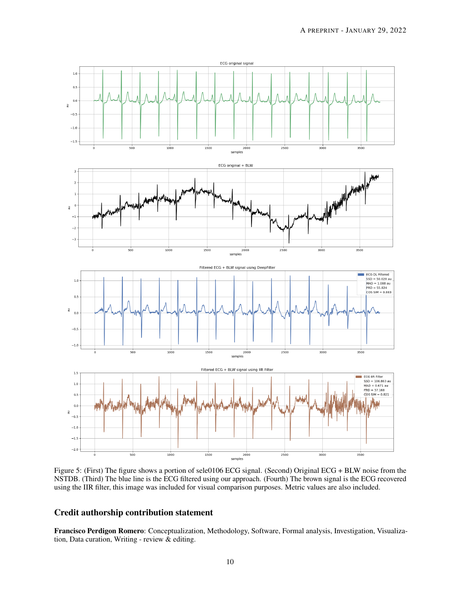<span id="page-9-0"></span>

Figure 5: (First) The figure shows a portion of sele0106 ECG signal. (Second) Original ECG + BLW noise from the NSTDB. (Third) The blue line is the ECG filtered using our approach. (Fourth) The brown signal is the ECG recovered using the IIR filter, this image was included for visual comparison purposes. Metric values are also included.

# Credit authorship contribution statement

Francisco Perdigon Romero: Conceptualization, Methodology, Software, Formal analysis, Investigation, Visualization, Data curation, Writing - review & editing.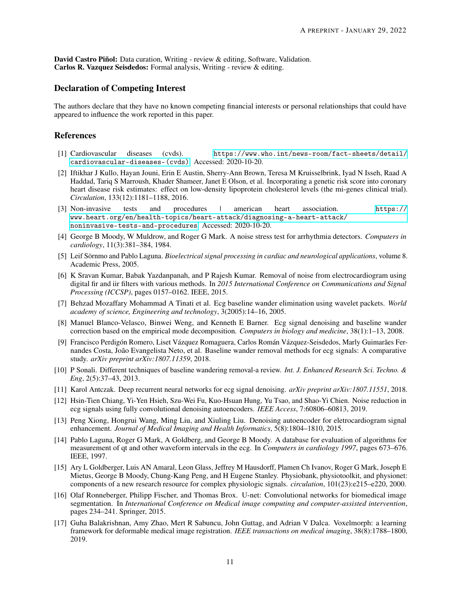David Castro Piñol: Data curation, Writing - review & editing, Software, Validation. Carlos R. Vazquez Seisdedos: Formal analysis, Writing - review & editing.

## Declaration of Competing Interest

The authors declare that they have no known competing financial interests or personal relationships that could have appeared to influence the work reported in this paper.

## **References**

- <span id="page-10-0"></span>[1] Cardiovascular diseases (cvds). [https://www.who.int/news-room/fact-sheets/detail/](https://www.who.int/news-room/fact-sheets/detail/cardiovascular-diseases-(cvds)) [cardiovascular-diseases-\(cvds\)](https://www.who.int/news-room/fact-sheets/detail/cardiovascular-diseases-(cvds)). Accessed: 2020-10-20.
- <span id="page-10-1"></span>[2] Iftikhar J Kullo, Hayan Jouni, Erin E Austin, Sherry-Ann Brown, Teresa M Kruisselbrink, Iyad N Isseh, Raad A Haddad, Tariq S Marroush, Khader Shameer, Janet E Olson, et al. Incorporating a genetic risk score into coronary heart disease risk estimates: effect on low-density lipoprotein cholesterol levels (the mi-genes clinical trial). *Circulation*, 133(12):1181–1188, 2016.
- <span id="page-10-2"></span>[3] Non-invasive tests and procedures | american heart association. [https://](https://www.heart.org/en/health-topics/heart-attack/diagnosing-a-heart-attack/noninvasive-tests-and-procedures) [www.heart.org/en/health-topics/heart-attack/diagnosing-a-heart-attack/](https://www.heart.org/en/health-topics/heart-attack/diagnosing-a-heart-attack/noninvasive-tests-and-procedures) [noninvasive-tests-and-procedures](https://www.heart.org/en/health-topics/heart-attack/diagnosing-a-heart-attack/noninvasive-tests-and-procedures). Accessed: 2020-10-20.
- <span id="page-10-3"></span>[4] George B Moody, W Muldrow, and Roger G Mark. A noise stress test for arrhythmia detectors. *Computers in cardiology*, 11(3):381–384, 1984.
- <span id="page-10-4"></span>[5] Leif Sörnmo and Pablo Laguna. *Bioelectrical signal processing in cardiac and neurological applications*, volume 8. Academic Press, 2005.
- <span id="page-10-5"></span>[6] K Sravan Kumar, Babak Yazdanpanah, and P Rajesh Kumar. Removal of noise from electrocardiogram using digital fir and iir filters with various methods. In *2015 International Conference on Communications and Signal Processing (ICCSP)*, pages 0157–0162. IEEE, 2015.
- <span id="page-10-6"></span>[7] Behzad Mozaffary Mohammad A Tinati et al. Ecg baseline wander elimination using wavelet packets. *World academy of science, Engineering and technology*, 3(2005):14–16, 2005.
- <span id="page-10-7"></span>[8] Manuel Blanco-Velasco, Binwei Weng, and Kenneth E Barner. Ecg signal denoising and baseline wander correction based on the empirical mode decomposition. *Computers in biology and medicine*, 38(1):1–13, 2008.
- <span id="page-10-8"></span>[9] Francisco Perdigón Romero, Liset Vázquez Romaguera, Carlos Román Vázquez-Seisdedos, Marly Guimarães Fernandes Costa, João Evangelista Neto, et al. Baseline wander removal methods for ecg signals: A comparative study. *arXiv preprint arXiv:1807.11359*, 2018.
- <span id="page-10-9"></span>[10] P Sonali. Different techniques of baseline wandering removal-a review. *Int. J. Enhanced Research Sci. Techno. & Eng*, 2(5):37–43, 2013.
- <span id="page-10-10"></span>[11] Karol Antczak. Deep recurrent neural networks for ecg signal denoising. *arXiv preprint arXiv:1807.11551*, 2018.
- <span id="page-10-11"></span>[12] Hsin-Tien Chiang, Yi-Yen Hsieh, Szu-Wei Fu, Kuo-Hsuan Hung, Yu Tsao, and Shao-Yi Chien. Noise reduction in ecg signals using fully convolutional denoising autoencoders. *IEEE Access*, 7:60806–60813, 2019.
- <span id="page-10-12"></span>[13] Peng Xiong, Hongrui Wang, Ming Liu, and Xiuling Liu. Denoising autoencoder for eletrocardiogram signal enhancement. *Journal of Medical Imaging and Health Informatics*, 5(8):1804–1810, 2015.
- <span id="page-10-13"></span>[14] Pablo Laguna, Roger G Mark, A Goldberg, and George B Moody. A database for evaluation of algorithms for measurement of qt and other waveform intervals in the ecg. In *Computers in cardiology 1997*, pages 673–676. IEEE, 1997.
- <span id="page-10-14"></span>[15] Ary L Goldberger, Luis AN Amaral, Leon Glass, Jeffrey M Hausdorff, Plamen Ch Ivanov, Roger G Mark, Joseph E Mietus, George B Moody, Chung-Kang Peng, and H Eugene Stanley. Physiobank, physiotoolkit, and physionet: components of a new research resource for complex physiologic signals. *circulation*, 101(23):e215–e220, 2000.
- <span id="page-10-15"></span>[16] Olaf Ronneberger, Philipp Fischer, and Thomas Brox. U-net: Convolutional networks for biomedical image segmentation. In *International Conference on Medical image computing and computer-assisted intervention*, pages 234–241. Springer, 2015.
- <span id="page-10-16"></span>[17] Guha Balakrishnan, Amy Zhao, Mert R Sabuncu, John Guttag, and Adrian V Dalca. Voxelmorph: a learning framework for deformable medical image registration. *IEEE transactions on medical imaging*, 38(8):1788–1800, 2019.